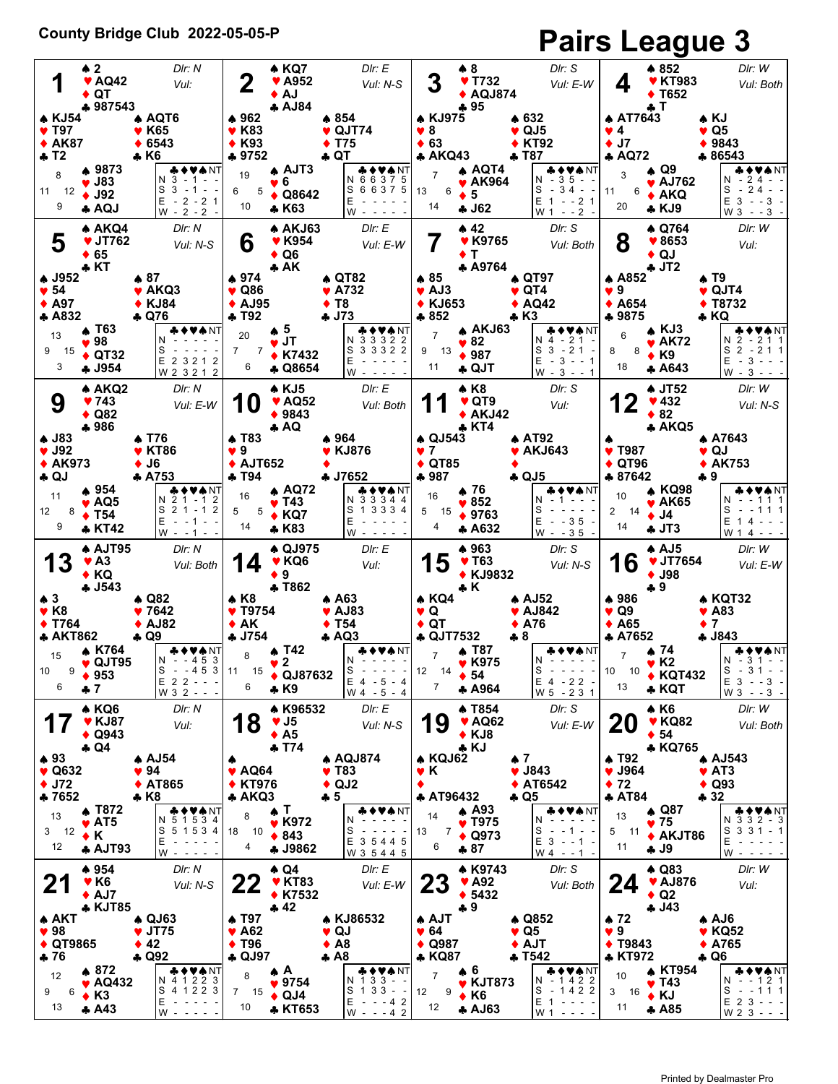## **County Bridge Club 2022-05-05-P Pairs League 3**